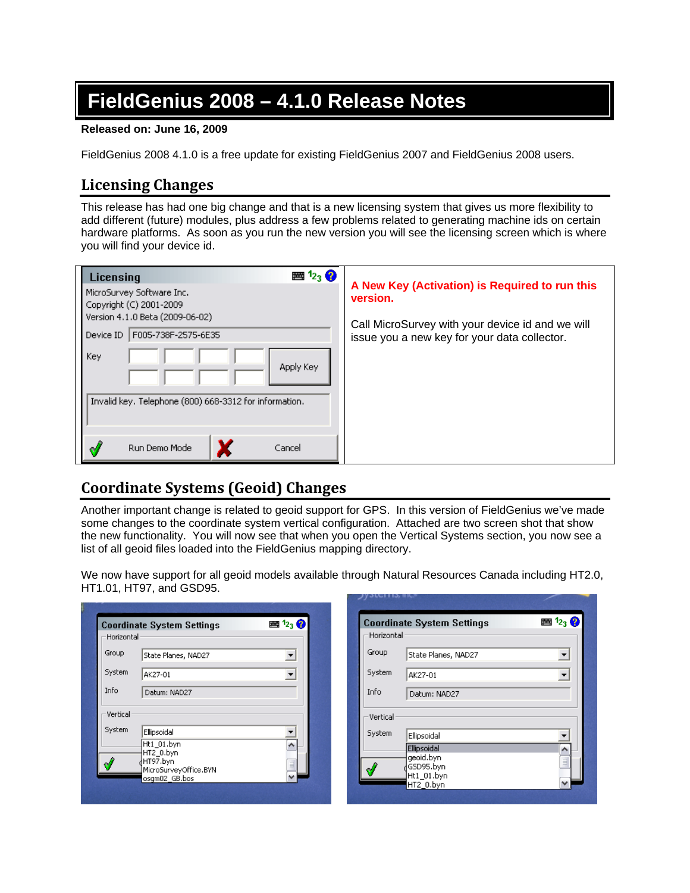# **FieldGenius 2008 – 4.1.0 Release Notes**

#### **Released on: June 16, 2009**

FieldGenius 2008 4.1.0 is a free update for existing FieldGenius 2007 and FieldGenius 2008 users.

# **Licensing Changes**

This release has had one big change and that is a new licensing system that gives us more flexibility to add different (future) modules, plus address a few problems related to generating machine ids on certain hardware platforms. As soon as you run the new version you will see the licensing screen which is where you will find your device id.

| $\mathbf{m}$ $\mathbf{1}_{23}$ $\mathbf{Q}$<br>Licensing                                |                                                                                                  |
|-----------------------------------------------------------------------------------------|--------------------------------------------------------------------------------------------------|
| MicroSurvey Software Inc.<br>Copyright (C) 2001-2009<br>Version 4.1.0 Beta (2009-06-02) | A New Key (Activation) is Required to run this<br>version.                                       |
| F005-738F-2575-6E35<br>Device ID                                                        | Call MicroSurvey with your device id and we will<br>issue you a new key for your data collector. |
| <b>Key</b><br>Apply Key                                                                 |                                                                                                  |
| Invalid key. Telephone (800) 668-3312 for information.                                  |                                                                                                  |
| Run Demo Mode<br>Cancel                                                                 |                                                                                                  |

# **Coordinate Systems (Geoid) Changes**

Another important change is related to geoid support for GPS. In this version of FieldGenius we've made some changes to the coordinate system vertical configuration. Attached are two screen shot that show the new functionality. You will now see that when you open the Vertical Systems section, you now see a list of all geoid files loaded into the FieldGenius mapping directory.

We now have support for all geoid models available through Natural Resources Canada including HT2.0, HT1.01, HT97, and GSD95.

| Horizontal <sup>,</sup> | <b>Coordinate System Settings</b>      | $\mathbb{E}$ $\mathbb{E}_3$ $\mathbb{Q}$ | Horizontal |                         |          |
|-------------------------|----------------------------------------|------------------------------------------|------------|-------------------------|----------|
| Group                   | State Planes, NAD27                    | $\overline{\phantom{a}}$                 | Group      | State Planes, NAD27     |          |
| System                  | AK27-01                                |                                          | System     | AK27-01                 |          |
| Info                    | Datum: NAD27                           |                                          | Info       | Datum: NAD27            |          |
| Vertical                |                                        |                                          | Vertical   |                         |          |
| System                  | Ellipsoidal                            |                                          | System     | Ellipsoidal             |          |
|                         | Ht1 01.byn<br>HT2 0.byn                | ۸                                        |            | Ellipsoidal             | ۸        |
|                         | HT97.byn                               | $\equiv$                                 |            | geoid.byn<br>∤GSD95.byn | $\equiv$ |
|                         | MicroSurveyOffice.BYN<br>osgm02_GB.bos | $\checkmark$                             |            | Ht1_01.byn<br>HT2_0.byn | v        |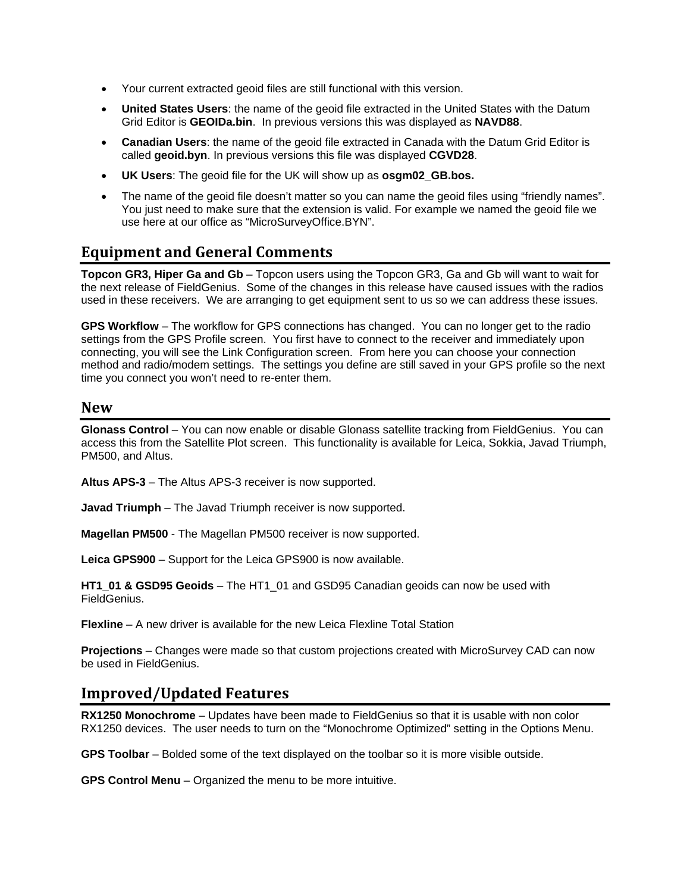- Your current extracted geoid files are still functional with this version.
- **United States Users**: the name of the geoid file extracted in the United States with the Datum Grid Editor is **GEOIDa.bin**. In previous versions this was displayed as **NAVD88**.
- **Canadian Users**: the name of the geoid file extracted in Canada with the Datum Grid Editor is called **geoid.byn**. In previous versions this file was displayed **CGVD28**.
- **UK Users**: The geoid file for the UK will show up as **osgm02\_GB.bos.**
- The name of the geoid file doesn't matter so you can name the geoid files using "friendly names". You just need to make sure that the extension is valid. For example we named the geoid file we use here at our office as "MicroSurveyOffice.BYN".

## **Equipment and General Comments**

**Topcon GR3, Hiper Ga and Gb** – Topcon users using the Topcon GR3, Ga and Gb will want to wait for the next release of FieldGenius. Some of the changes in this release have caused issues with the radios used in these receivers. We are arranging to get equipment sent to us so we can address these issues.

**GPS Workflow** – The workflow for GPS connections has changed. You can no longer get to the radio settings from the GPS Profile screen. You first have to connect to the receiver and immediately upon connecting, you will see the Link Configuration screen. From here you can choose your connection method and radio/modem settings. The settings you define are still saved in your GPS profile so the next time you connect you won't need to re-enter them.

#### **New**

**Glonass Control** – You can now enable or disable Glonass satellite tracking from FieldGenius. You can access this from the Satellite Plot screen. This functionality is available for Leica, Sokkia, Javad Triumph, PM500, and Altus.

**Altus APS-3** – The Altus APS-3 receiver is now supported.

**Javad Triumph** – The Javad Triumph receiver is now supported.

**Magellan PM500** - The Magellan PM500 receiver is now supported.

**Leica GPS900** – Support for the Leica GPS900 is now available.

**HT1\_01 & GSD95 Geoids** – The HT1\_01 and GSD95 Canadian geoids can now be used with FieldGenius.

**Flexline** – A new driver is available for the new Leica Flexline Total Station

**Projections** – Changes were made so that custom projections created with MicroSurvey CAD can now be used in FieldGenius.

### **Improved/Updated Features**

**RX1250 Monochrome** – Updates have been made to FieldGenius so that it is usable with non color RX1250 devices. The user needs to turn on the "Monochrome Optimized" setting in the Options Menu.

**GPS Toolbar** – Bolded some of the text displayed on the toolbar so it is more visible outside.

**GPS Control Menu** – Organized the menu to be more intuitive.